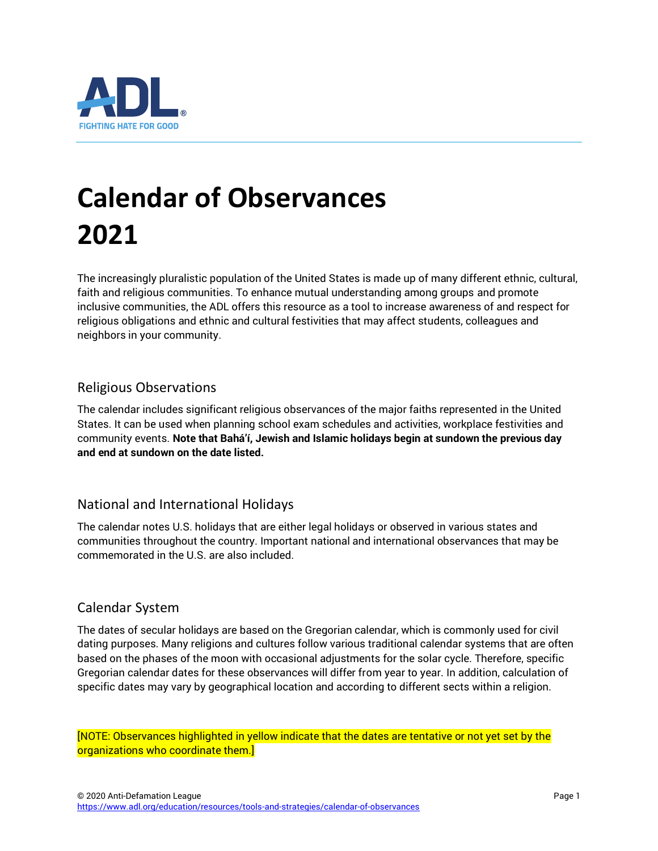

# **Calendar of Observances 2021**

The increasingly pluralistic population of the United States is made up of many different ethnic, cultural, faith and religious communities. To enhance mutual understanding among groups and promote inclusive communities, the ADL offers this resource as a tool to increase awareness of and respect for religious obligations and ethnic and cultural festivities that may affect students, colleagues and neighbors in your community.

#### Religious Observations

The calendar includes significant religious observances of the major faiths represented in the United States. It can be used when planning school exam schedules and activities, workplace festivities and community events. **Note that Bahá'í, Jewish and Islamic holidays begin at sundown the previous day and end at sundown on the date listed.**

#### National and International Holidays

The calendar notes U.S. holidays that are either legal holidays or observed in various states and communities throughout the country. Important national and international observances that may be commemorated in the U.S. are also included.

#### Calendar System

The dates of secular holidays are based on the Gregorian calendar, which is commonly used for civil dating purposes. Many religions and cultures follow various traditional calendar systems that are often based on the phases of the moon with occasional adjustments for the solar cycle. Therefore, specific Gregorian calendar dates for these observances will differ from year to year. In addition, calculation of specific dates may vary by geographical location and according to different sects within a religion.

[NOTE: Observances highlighted in yellow indicate that the dates are tentative or not yet set by the organizations who coordinate them.]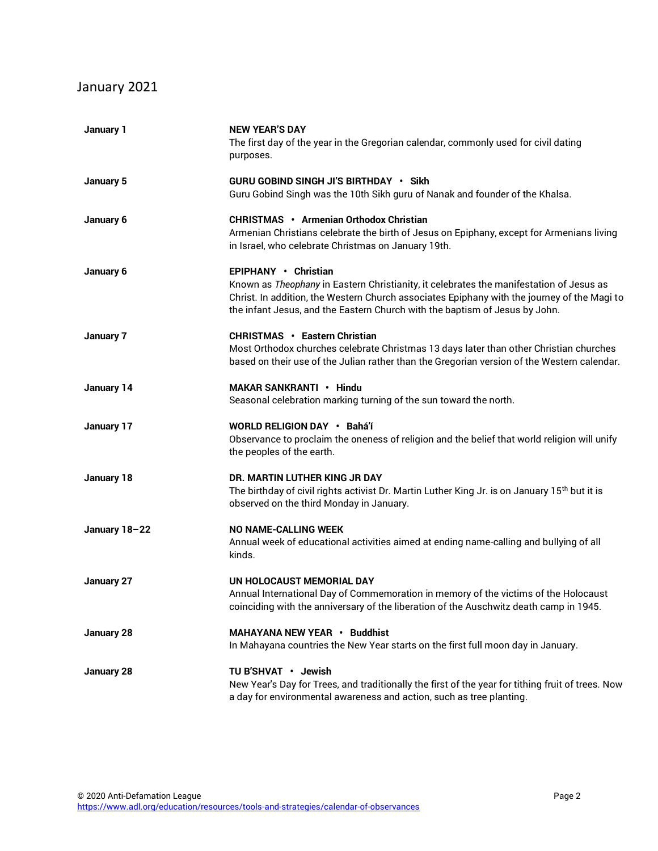## January 2021

| January 1     | <b>NEW YEAR'S DAY</b><br>The first day of the year in the Gregorian calendar, commonly used for civil dating<br>purposes.                                                                                                                                                                     |
|---------------|-----------------------------------------------------------------------------------------------------------------------------------------------------------------------------------------------------------------------------------------------------------------------------------------------|
| January 5     | <b>GURU GOBIND SINGH JI'S BIRTHDAY · Sikh</b><br>Guru Gobind Singh was the 10th Sikh guru of Nanak and founder of the Khalsa.                                                                                                                                                                 |
| January 6     | <b>CHRISTMAS · Armenian Orthodox Christian</b><br>Armenian Christians celebrate the birth of Jesus on Epiphany, except for Armenians living<br>in Israel, who celebrate Christmas on January 19th.                                                                                            |
| January 6     | EPIPHANY • Christian<br>Known as Theophany in Eastern Christianity, it celebrates the manifestation of Jesus as<br>Christ. In addition, the Western Church associates Epiphany with the journey of the Magi to<br>the infant Jesus, and the Eastern Church with the baptism of Jesus by John. |
| January 7     | <b>CHRISTMAS · Eastern Christian</b><br>Most Orthodox churches celebrate Christmas 13 days later than other Christian churches<br>based on their use of the Julian rather than the Gregorian version of the Western calendar.                                                                 |
| January 14    | MAKAR SANKRANTI • Hindu<br>Seasonal celebration marking turning of the sun toward the north.                                                                                                                                                                                                  |
| January 17    | WORLD RELIGION DAY · Bahá'í<br>Observance to proclaim the oneness of religion and the belief that world religion will unify<br>the peoples of the earth.                                                                                                                                      |
| January 18    | DR. MARTIN LUTHER KING JR DAY<br>The birthday of civil rights activist Dr. Martin Luther King Jr. is on January 15 <sup>th</sup> but it is<br>observed on the third Monday in January.                                                                                                        |
| January 18-22 | <b>NO NAME-CALLING WEEK</b><br>Annual week of educational activities aimed at ending name-calling and bullying of all<br>kinds.                                                                                                                                                               |
| January 27    | UN HOLOCAUST MEMORIAL DAY<br>Annual International Day of Commemoration in memory of the victims of the Holocaust<br>coinciding with the anniversary of the liberation of the Auschwitz death camp in 1945.                                                                                    |
| January 28    | MAHAYANA NEW YEAR • Buddhist<br>In Mahayana countries the New Year starts on the first full moon day in January.                                                                                                                                                                              |
| January 28    | TU B'SHVAT · Jewish<br>New Year's Day for Trees, and traditionally the first of the year for tithing fruit of trees. Now<br>a day for environmental awareness and action, such as tree planting.                                                                                              |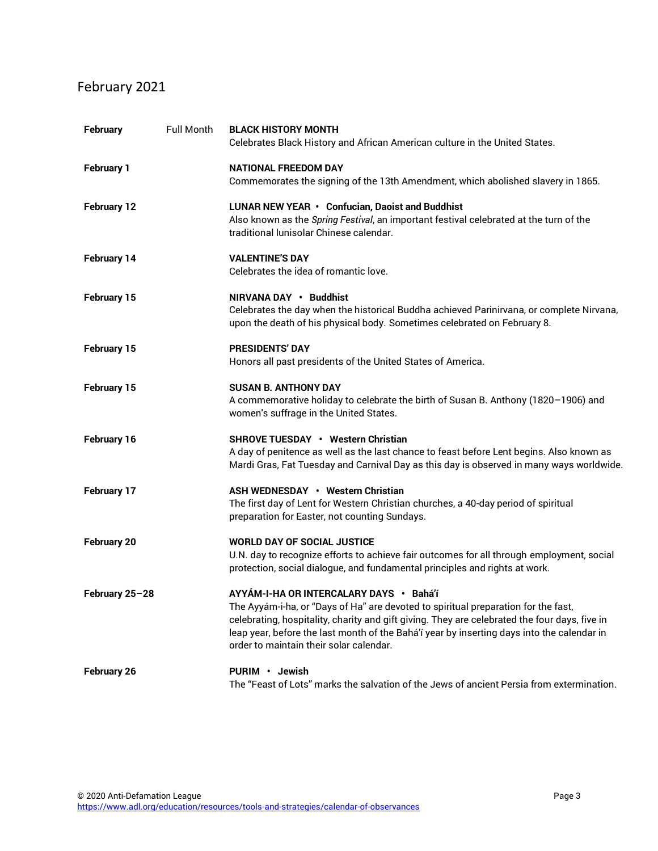## February 2021

| <b>February</b>    | Full Month | <b>BLACK HISTORY MONTH</b><br>Celebrates Black History and African American culture in the United States.                                                                                                                                                                                                                                                               |
|--------------------|------------|-------------------------------------------------------------------------------------------------------------------------------------------------------------------------------------------------------------------------------------------------------------------------------------------------------------------------------------------------------------------------|
| <b>February 1</b>  |            | <b>NATIONAL FREEDOM DAY</b><br>Commemorates the signing of the 13th Amendment, which abolished slavery in 1865.                                                                                                                                                                                                                                                         |
| <b>February 12</b> |            | LUNAR NEW YEAR • Confucian, Daoist and Buddhist<br>Also known as the Spring Festival, an important festival celebrated at the turn of the<br>traditional lunisolar Chinese calendar.                                                                                                                                                                                    |
| February 14        |            | <b>VALENTINE'S DAY</b><br>Celebrates the idea of romantic love.                                                                                                                                                                                                                                                                                                         |
| February 15        |            | NIRVANA DAY · Buddhist<br>Celebrates the day when the historical Buddha achieved Parinirvana, or complete Nirvana,<br>upon the death of his physical body. Sometimes celebrated on February 8.                                                                                                                                                                          |
| February 15        |            | <b>PRESIDENTS' DAY</b><br>Honors all past presidents of the United States of America.                                                                                                                                                                                                                                                                                   |
| February 15        |            | <b>SUSAN B. ANTHONY DAY</b><br>A commemorative holiday to celebrate the birth of Susan B. Anthony (1820-1906) and<br>women's suffrage in the United States.                                                                                                                                                                                                             |
| February 16        |            | <b>SHROVE TUESDAY • Western Christian</b><br>A day of penitence as well as the last chance to feast before Lent begins. Also known as<br>Mardi Gras, Fat Tuesday and Carnival Day as this day is observed in many ways worldwide.                                                                                                                                       |
| February 17        |            | ASH WEDNESDAY • Western Christian<br>The first day of Lent for Western Christian churches, a 40-day period of spiritual<br>preparation for Easter, not counting Sundays.                                                                                                                                                                                                |
| <b>February 20</b> |            | <b>WORLD DAY OF SOCIAL JUSTICE</b><br>U.N. day to recognize efforts to achieve fair outcomes for all through employment, social<br>protection, social dialogue, and fundamental principles and rights at work.                                                                                                                                                          |
| February 25-28     |            | AYYÁM-I-HA OR INTERCALARY DAYS · Bahá'í<br>The Ayyám-i-ha, or "Days of Ha" are devoted to spiritual preparation for the fast,<br>celebrating, hospitality, charity and gift giving. They are celebrated the four days, five in<br>leap year, before the last month of the Bahá'í year by inserting days into the calendar in<br>order to maintain their solar calendar. |
| February 26        |            | PURIM · Jewish<br>The "Feast of Lots" marks the salvation of the Jews of ancient Persia from extermination.                                                                                                                                                                                                                                                             |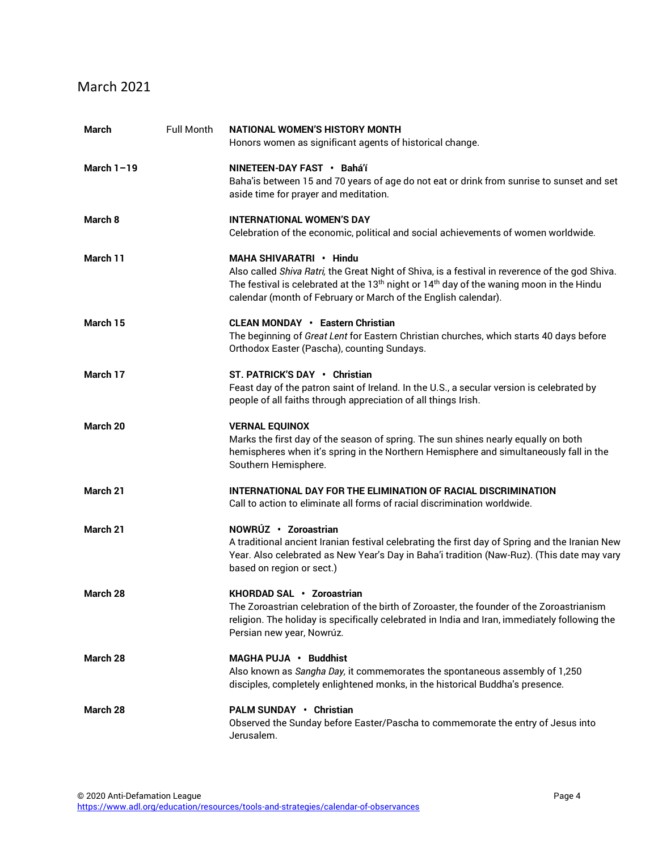#### March 2021

| <b>March</b> | <b>Full Month</b> | <b>NATIONAL WOMEN'S HISTORY MONTH</b><br>Honors women as significant agents of historical change.                                                                                                                                                                                                                |
|--------------|-------------------|------------------------------------------------------------------------------------------------------------------------------------------------------------------------------------------------------------------------------------------------------------------------------------------------------------------|
| March $1-19$ |                   | NINETEEN-DAY FAST · Bahá'í<br>Baha'is between 15 and 70 years of age do not eat or drink from sunrise to sunset and set<br>aside time for prayer and meditation.                                                                                                                                                 |
| March 8      |                   | <b>INTERNATIONAL WOMEN'S DAY</b><br>Celebration of the economic, political and social achievements of women worldwide.                                                                                                                                                                                           |
| March 11     |                   | MAHA SHIVARATRI • Hindu<br>Also called Shiva Ratri, the Great Night of Shiva, is a festival in reverence of the god Shiva.<br>The festival is celebrated at the 13 <sup>th</sup> night or 14 <sup>th</sup> day of the waning moon in the Hindu<br>calendar (month of February or March of the English calendar). |
| March 15     |                   | <b>CLEAN MONDAY • Eastern Christian</b><br>The beginning of Great Lent for Eastern Christian churches, which starts 40 days before<br>Orthodox Easter (Pascha), counting Sundays.                                                                                                                                |
| March 17     |                   | ST. PATRICK'S DAY • Christian<br>Feast day of the patron saint of Ireland. In the U.S., a secular version is celebrated by<br>people of all faiths through appreciation of all things Irish.                                                                                                                     |
| March 20     |                   | <b>VERNAL EQUINOX</b><br>Marks the first day of the season of spring. The sun shines nearly equally on both<br>hemispheres when it's spring in the Northern Hemisphere and simultaneously fall in the<br>Southern Hemisphere.                                                                                    |
| March 21     |                   | INTERNATIONAL DAY FOR THE ELIMINATION OF RACIAL DISCRIMINATION<br>Call to action to eliminate all forms of racial discrimination worldwide.                                                                                                                                                                      |
| March 21     |                   | NOWRÚZ · Zoroastrian<br>A traditional ancient Iranian festival celebrating the first day of Spring and the Iranian New<br>Year. Also celebrated as New Year's Day in Baha'i tradition (Naw-Ruz). (This date may vary<br>based on region or sect.)                                                                |
| March 28     |                   | KHORDAD SAL • Zoroastrian<br>The Zoroastrian celebration of the birth of Zoroaster, the founder of the Zoroastrianism<br>religion. The holiday is specifically celebrated in India and Iran, immediately following the<br>Persian new year, Nowrúz.                                                              |
| March 28     |                   | MAGHA PUJA · Buddhist<br>Also known as Sangha Day, it commemorates the spontaneous assembly of 1,250<br>disciples, completely enlightened monks, in the historical Buddha's presence.                                                                                                                            |
| March 28     |                   | <b>PALM SUNDAY · Christian</b><br>Observed the Sunday before Easter/Pascha to commemorate the entry of Jesus into<br>Jerusalem.                                                                                                                                                                                  |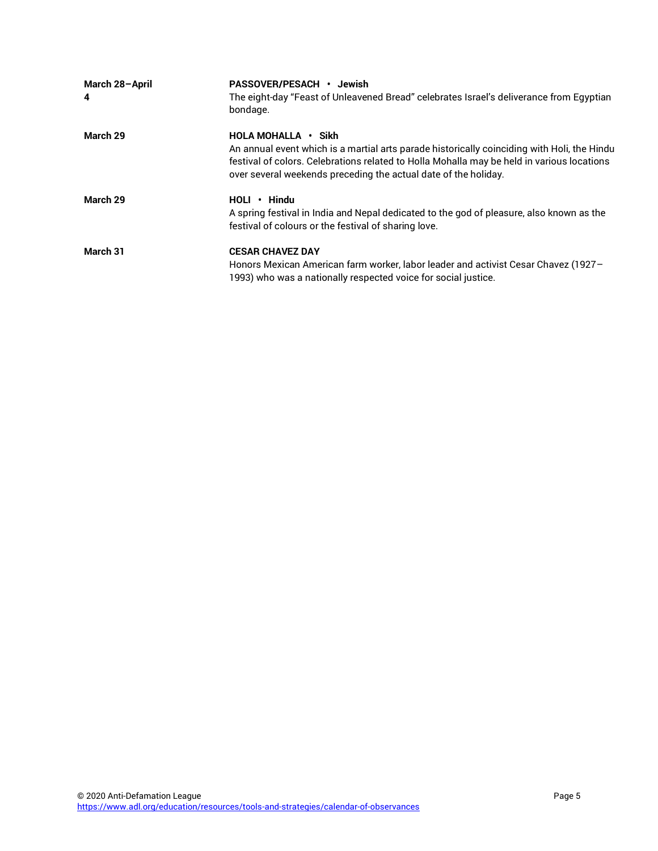| March 28-April | PASSOVER/PESACH · Jewish                                                                                                                                                                                                                                                            |
|----------------|-------------------------------------------------------------------------------------------------------------------------------------------------------------------------------------------------------------------------------------------------------------------------------------|
| 4              | The eight-day "Feast of Unleavened Bread" celebrates Israel's deliverance from Egyptian<br>bondage.                                                                                                                                                                                 |
| March 29       | HOLA MOHALLA • Sikh<br>An annual event which is a martial arts parade historically coinciding with Holi, the Hindu<br>festival of colors. Celebrations related to Holla Mohalla may be held in various locations<br>over several weekends preceding the actual date of the holiday. |
| March 29       | $HOLI \cdot Hindu$<br>A spring festival in India and Nepal dedicated to the god of pleasure, also known as the<br>festival of colours or the festival of sharing love.                                                                                                              |
| March 31       | <b>CESAR CHAVEZ DAY</b><br>Honors Mexican American farm worker, labor leader and activist Cesar Chavez (1927-<br>1993) who was a nationally respected voice for social justice.                                                                                                     |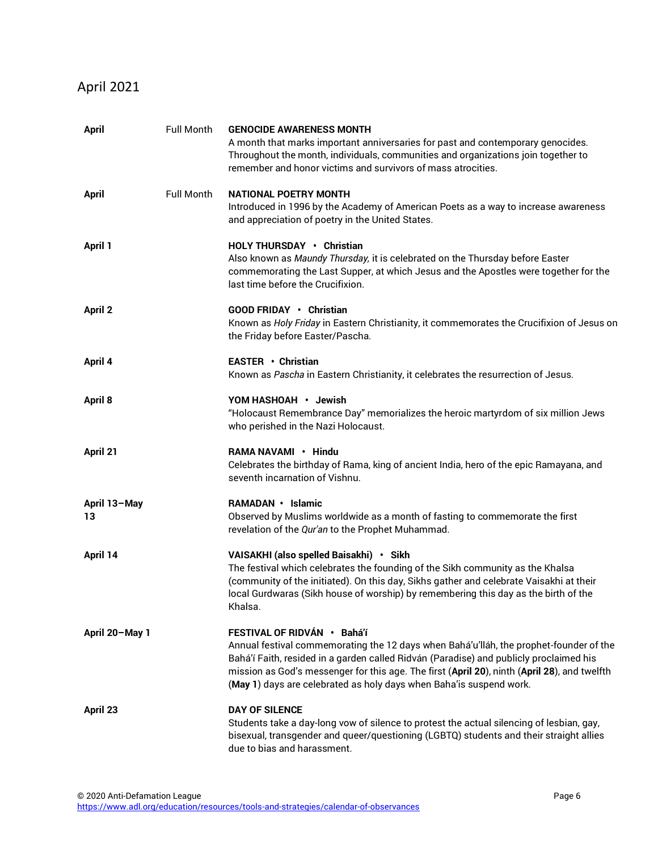## April 2021

| <b>April</b>       | Full Month | <b>GENOCIDE AWARENESS MONTH</b><br>A month that marks important anniversaries for past and contemporary genocides.<br>Throughout the month, individuals, communities and organizations join together to<br>remember and honor victims and survivors of mass atrocities.                                                                                                                |
|--------------------|------------|----------------------------------------------------------------------------------------------------------------------------------------------------------------------------------------------------------------------------------------------------------------------------------------------------------------------------------------------------------------------------------------|
| <b>April</b>       | Full Month | NATIONAL POETRY MONTH<br>Introduced in 1996 by the Academy of American Poets as a way to increase awareness<br>and appreciation of poetry in the United States.                                                                                                                                                                                                                        |
| April 1            |            | <b>HOLY THURSDAY • Christian</b><br>Also known as Maundy Thursday, it is celebrated on the Thursday before Easter<br>commemorating the Last Supper, at which Jesus and the Apostles were together for the<br>last time before the Crucifixion.                                                                                                                                         |
| <b>April 2</b>     |            | GOOD FRIDAY • Christian<br>Known as Holy Friday in Eastern Christianity, it commemorates the Crucifixion of Jesus on<br>the Friday before Easter/Pascha.                                                                                                                                                                                                                               |
| April 4            |            | EASTER • Christian<br>Known as Pascha in Eastern Christianity, it celebrates the resurrection of Jesus.                                                                                                                                                                                                                                                                                |
| <b>April 8</b>     |            | YOM HASHOAH • Jewish<br>"Holocaust Remembrance Day" memorializes the heroic martyrdom of six million Jews<br>who perished in the Nazi Holocaust.                                                                                                                                                                                                                                       |
| April 21           |            | RAMA NAVAMI • Hindu<br>Celebrates the birthday of Rama, king of ancient India, hero of the epic Ramayana, and<br>seventh incarnation of Vishnu.                                                                                                                                                                                                                                        |
| April 13-May<br>13 |            | RAMADAN • Islamic<br>Observed by Muslims worldwide as a month of fasting to commemorate the first<br>revelation of the Qur'an to the Prophet Muhammad.                                                                                                                                                                                                                                 |
| April 14           |            | VAISAKHI (also spelled Baisakhi) · Sikh<br>The festival which celebrates the founding of the Sikh community as the Khalsa<br>(community of the initiated). On this day, Sikhs gather and celebrate Vaisakhi at their<br>local Gurdwaras (Sikh house of worship) by remembering this day as the birth of the<br>Khalsa.                                                                 |
| April 20-May 1     |            | FESTIVAL OF RIDVÁN · Bahá'í<br>Annual festival commemorating the 12 days when Bahá'u'lláh, the prophet-founder of the<br>Bahá'í Faith, resided in a garden called Ridván (Paradise) and publicly proclaimed his<br>mission as God's messenger for this age. The first (April 20), ninth (April 28), and twelfth<br>(May 1) days are celebrated as holy days when Baha'is suspend work. |
| April 23           |            | <b>DAY OF SILENCE</b><br>Students take a day-long vow of silence to protest the actual silencing of lesbian, gay,<br>bisexual, transgender and queer/questioning (LGBTQ) students and their straight allies<br>due to bias and harassment.                                                                                                                                             |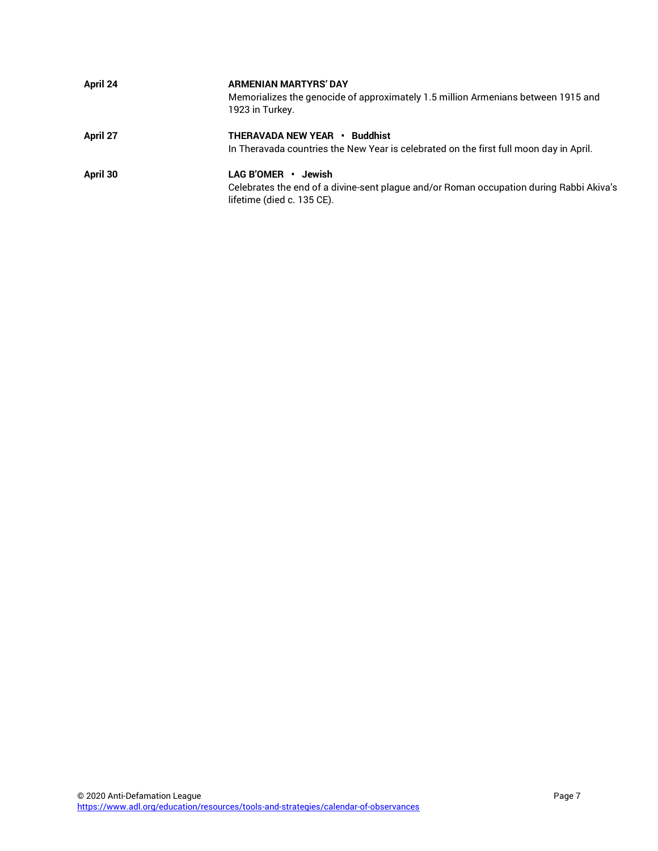| April 24 | <b>ARMENIAN MARTYRS' DAY</b><br>Memorializes the genocide of approximately 1.5 million Armenians between 1915 and<br>1923 in Turkey.         |
|----------|----------------------------------------------------------------------------------------------------------------------------------------------|
| April 27 | <b>THERAVADA NEW YEAR • Buddhist</b><br>In Theravada countries the New Year is celebrated on the first full moon day in April.               |
| April 30 | LAG B'OMER · Jewish<br>Celebrates the end of a divine-sent plague and/or Roman occupation during Rabbi Akiva's<br>lifetime (died c. 135 CE). |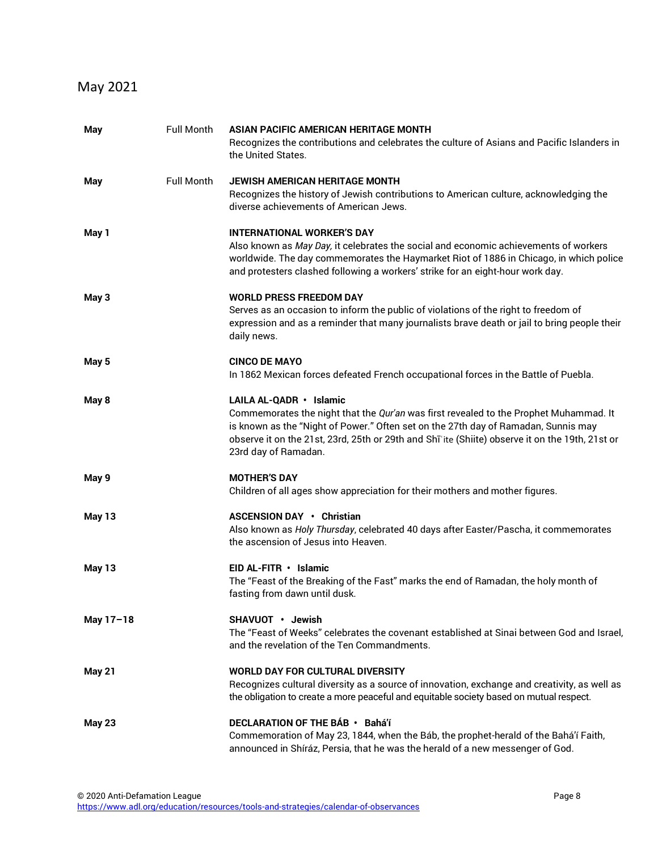## May 2021

| May           | Full Month        | ASIAN PACIFIC AMERICAN HERITAGE MONTH<br>Recognizes the contributions and celebrates the culture of Asians and Pacific Islanders in<br>the United States.                                                                                                                                                                         |
|---------------|-------------------|-----------------------------------------------------------------------------------------------------------------------------------------------------------------------------------------------------------------------------------------------------------------------------------------------------------------------------------|
| May           | <b>Full Month</b> | JEWISH AMERICAN HERITAGE MONTH<br>Recognizes the history of Jewish contributions to American culture, acknowledging the<br>diverse achievements of American Jews.                                                                                                                                                                 |
| May 1         |                   | <b>INTERNATIONAL WORKER'S DAY</b><br>Also known as May Day, it celebrates the social and economic achievements of workers<br>worldwide. The day commemorates the Haymarket Riot of 1886 in Chicago, in which police<br>and protesters clashed following a workers' strike for an eight-hour work day.                             |
| May 3         |                   | <b>WORLD PRESS FREEDOM DAY</b><br>Serves as an occasion to inform the public of violations of the right to freedom of<br>expression and as a reminder that many journalists brave death or jail to bring people their<br>daily news.                                                                                              |
| May 5         |                   | <b>CINCO DE MAYO</b><br>In 1862 Mexican forces defeated French occupational forces in the Battle of Puebla.                                                                                                                                                                                                                       |
| May 8         |                   | LAILA AL-QADR · Islamic<br>Commemorates the night that the Qur'an was first revealed to the Prophet Muhammad. It<br>is known as the "Night of Power." Often set on the 27th day of Ramadan, Sunnis may<br>observe it on the 21st, 23rd, 25th or 29th and Shī'ite (Shiite) observe it on the 19th, 21st or<br>23rd day of Ramadan. |
| May 9         |                   | <b>MOTHER'S DAY</b><br>Children of all ages show appreciation for their mothers and mother figures.                                                                                                                                                                                                                               |
| <b>May 13</b> |                   | ASCENSION DAY • Christian<br>Also known as Holy Thursday, celebrated 40 days after Easter/Pascha, it commemorates<br>the ascension of Jesus into Heaven.                                                                                                                                                                          |
| <b>May 13</b> |                   | $EID AL-FITR \cdot Islamic$<br>The "Feast of the Breaking of the Fast" marks the end of Ramadan, the holy month of<br>fasting from dawn until dusk.                                                                                                                                                                               |
| May 17-18     |                   | SHAVUOT • Jewish<br>The "Feast of Weeks" celebrates the covenant established at Sinai between God and Israel,<br>and the revelation of the Ten Commandments.                                                                                                                                                                      |
| <b>May 21</b> |                   | <b>WORLD DAY FOR CULTURAL DIVERSITY</b><br>Recognizes cultural diversity as a source of innovation, exchange and creativity, as well as<br>the obligation to create a more peaceful and equitable society based on mutual respect.                                                                                                |
| <b>May 23</b> |                   | DECLARATION OF THE BÁB · Bahá'í<br>Commemoration of May 23, 1844, when the Báb, the prophet-herald of the Bahá'í Faith,<br>announced in Shíráz, Persia, that he was the herald of a new messenger of God.                                                                                                                         |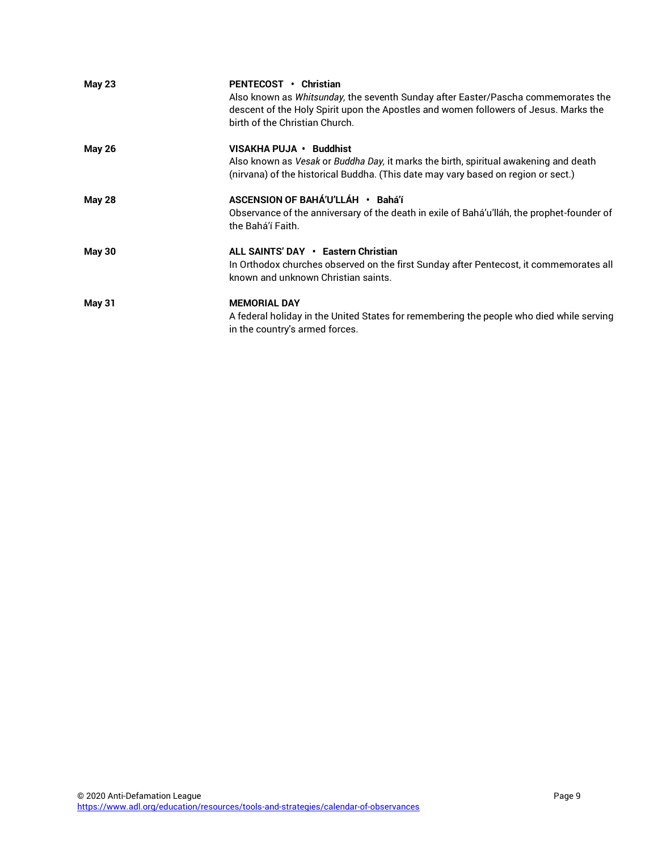| <b>May 23</b> | PENTECOST • Christian<br>Also known as Whitsunday, the seventh Sunday after Easter/Pascha commemorates the<br>descent of the Holy Spirit upon the Apostles and women followers of Jesus. Marks the<br>birth of the Christian Church. |
|---------------|--------------------------------------------------------------------------------------------------------------------------------------------------------------------------------------------------------------------------------------|
| <b>May 26</b> | VISAKHA PUJA · Buddhist<br>Also known as Vesak or Buddha Day, it marks the birth, spiritual awakening and death<br>(nirvana) of the historical Buddha. (This date may vary based on region or sect.)                                 |
| <b>May 28</b> | ASCENSION OF BAHÁ'U'LLÁH · Bahá'í<br>Observance of the anniversary of the death in exile of Bahá'u'lláh, the prophet-founder of<br>the Bahá'í Faith.                                                                                 |
| <b>May 30</b> | ALL SAINTS' DAY • Eastern Christian<br>In Orthodox churches observed on the first Sunday after Pentecost, it commemorates all<br>known and unknown Christian saints.                                                                 |
| <b>May 31</b> | <b>MEMORIAL DAY</b><br>A federal holiday in the United States for remembering the people who died while serving<br>in the country's armed forces.                                                                                    |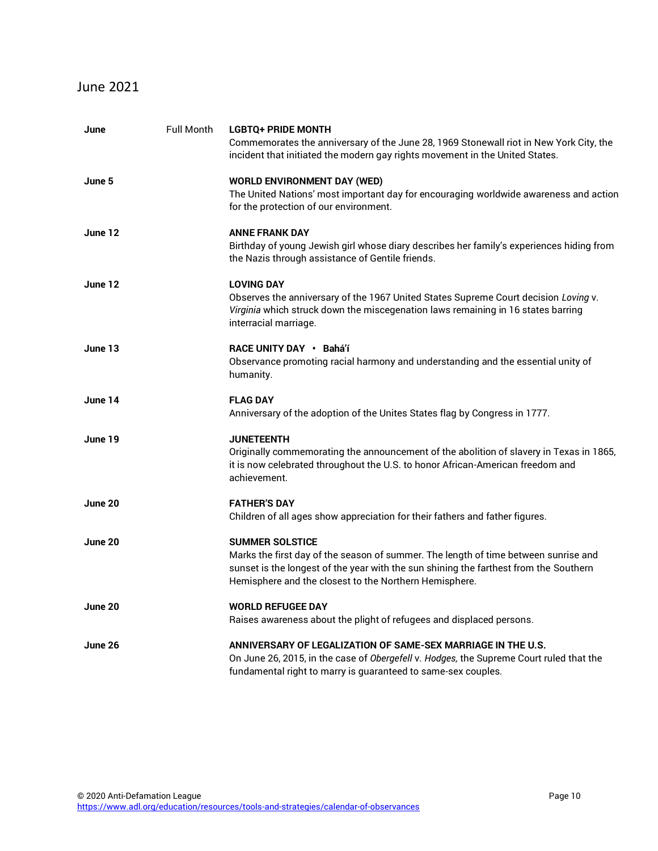#### June 2021

| June    | Full Month | <b>LGBTQ+ PRIDE MONTH</b><br>Commemorates the anniversary of the June 28, 1969 Stonewall riot in New York City, the<br>incident that initiated the modern gay rights movement in the United States.                                                              |
|---------|------------|------------------------------------------------------------------------------------------------------------------------------------------------------------------------------------------------------------------------------------------------------------------|
| June 5  |            | <b>WORLD ENVIRONMENT DAY (WED)</b><br>The United Nations' most important day for encouraging worldwide awareness and action<br>for the protection of our environment.                                                                                            |
| June 12 |            | <b>ANNE FRANK DAY</b><br>Birthday of young Jewish girl whose diary describes her family's experiences hiding from<br>the Nazis through assistance of Gentile friends.                                                                                            |
| June 12 |            | <b>LOVING DAY</b><br>Observes the anniversary of the 1967 United States Supreme Court decision Loving v.<br>Virginia which struck down the miscegenation laws remaining in 16 states barring<br>interracial marriage.                                            |
| June 13 |            | RACE UNITY DAY · Bahá'í<br>Observance promoting racial harmony and understanding and the essential unity of<br>humanity.                                                                                                                                         |
| June 14 |            | <b>FLAG DAY</b><br>Anniversary of the adoption of the Unites States flag by Congress in 1777.                                                                                                                                                                    |
| June 19 |            | <b>JUNETEENTH</b><br>Originally commemorating the announcement of the abolition of slavery in Texas in 1865,<br>it is now celebrated throughout the U.S. to honor African-American freedom and<br>achievement.                                                   |
| June 20 |            | <b>FATHER'S DAY</b><br>Children of all ages show appreciation for their fathers and father figures.                                                                                                                                                              |
| June 20 |            | <b>SUMMER SOLSTICE</b><br>Marks the first day of the season of summer. The length of time between sunrise and<br>sunset is the longest of the year with the sun shining the farthest from the Southern<br>Hemisphere and the closest to the Northern Hemisphere. |
| June 20 |            | <b>WORLD REFUGEE DAY</b><br>Raises awareness about the plight of refugees and displaced persons.                                                                                                                                                                 |
| June 26 |            | ANNIVERSARY OF LEGALIZATION OF SAME-SEX MARRIAGE IN THE U.S.<br>On June 26, 2015, in the case of Obergefell v. Hodges, the Supreme Court ruled that the<br>fundamental right to marry is guaranteed to same-sex couples.                                         |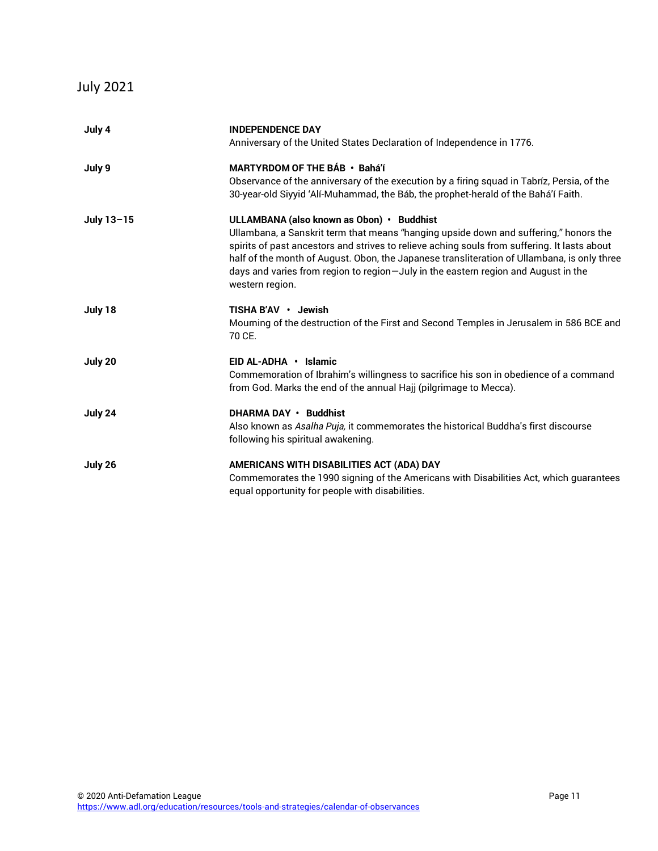## July 2021

| July 4     | <b>INDEPENDENCE DAY</b>                                                                                                                                                                     |
|------------|---------------------------------------------------------------------------------------------------------------------------------------------------------------------------------------------|
|            | Anniversary of the United States Declaration of Independence in 1776.                                                                                                                       |
| July 9     | MARTYRDOM OF THE BÁB · Bahá'í                                                                                                                                                               |
|            | Observance of the anniversary of the execution by a firing squad in Tabríz, Persia, of the                                                                                                  |
|            | 30-year-old Siyyid 'Alí-Muhammad, the Báb, the prophet-herald of the Bahá'í Faith.                                                                                                          |
| July 13-15 | ULLAMBANA (also known as Obon) · Buddhist                                                                                                                                                   |
|            | Ullambana, a Sanskrit term that means "hanging upside down and suffering," honors the                                                                                                       |
|            | spirits of past ancestors and strives to relieve aching souls from suffering. It lasts about<br>half of the month of August. Obon, the Japanese transliteration of Ullambana, is only three |
|            | days and varies from region to region-July in the eastern region and August in the                                                                                                          |
|            | western region.                                                                                                                                                                             |
| July 18    | TISHA B'AV · Jewish                                                                                                                                                                         |
|            | Mourning of the destruction of the First and Second Temples in Jerusalem in 586 BCE and                                                                                                     |
|            | 70 CE.                                                                                                                                                                                      |
| July 20    | EID AL-ADHA · Islamic                                                                                                                                                                       |
|            | Commemoration of Ibrahim's willingness to sacrifice his son in obedience of a command                                                                                                       |
|            | from God. Marks the end of the annual Hajj (pilgrimage to Mecca).                                                                                                                           |
| July 24    | <b>DHARMA DAY • Buddhist</b>                                                                                                                                                                |
|            | Also known as Asalha Puja, it commemorates the historical Buddha's first discourse                                                                                                          |
|            | following his spiritual awakening.                                                                                                                                                          |
| July 26    | AMERICANS WITH DISABILITIES ACT (ADA) DAY                                                                                                                                                   |
|            | Commemorates the 1990 signing of the Americans with Disabilities Act, which guarantees                                                                                                      |
|            | equal opportunity for people with disabilities.                                                                                                                                             |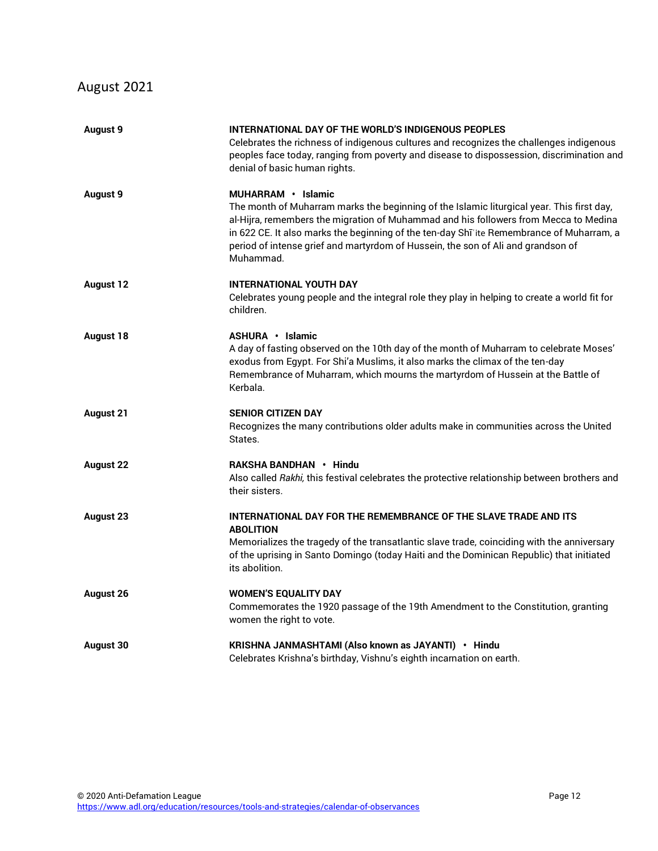## August 2021

| <b>August 9</b>  | INTERNATIONAL DAY OF THE WORLD'S INDIGENOUS PEOPLES<br>Celebrates the richness of indigenous cultures and recognizes the challenges indigenous<br>peoples face today, ranging from poverty and disease to dispossession, discrimination and<br>denial of basic human rights.                                                                                                                          |
|------------------|-------------------------------------------------------------------------------------------------------------------------------------------------------------------------------------------------------------------------------------------------------------------------------------------------------------------------------------------------------------------------------------------------------|
| <b>August 9</b>  | MUHARRAM · Islamic<br>The month of Muharram marks the beginning of the Islamic liturgical year. This first day,<br>al-Hijra, remembers the migration of Muhammad and his followers from Mecca to Medina<br>in 622 CE. It also marks the beginning of the ten-day Shī 'ite Remembrance of Muharram, a<br>period of intense grief and martyrdom of Hussein, the son of Ali and grandson of<br>Muhammad. |
| <b>August 12</b> | <b>INTERNATIONAL YOUTH DAY</b><br>Celebrates young people and the integral role they play in helping to create a world fit for<br>children.                                                                                                                                                                                                                                                           |
| <b>August 18</b> | ASHURA · Islamic<br>A day of fasting observed on the 10th day of the month of Muharram to celebrate Moses'<br>exodus from Egypt. For Shi'a Muslims, it also marks the climax of the ten-day<br>Remembrance of Muharram, which mourns the martyrdom of Hussein at the Battle of<br>Kerbala.                                                                                                            |
| <b>August 21</b> | <b>SENIOR CITIZEN DAY</b><br>Recognizes the many contributions older adults make in communities across the United<br>States.                                                                                                                                                                                                                                                                          |
| <b>August 22</b> | RAKSHA BANDHAN • Hindu<br>Also called Rakhi, this festival celebrates the protective relationship between brothers and<br>their sisters.                                                                                                                                                                                                                                                              |
| <b>August 23</b> | <b>INTERNATIONAL DAY FOR THE REMEMBRANCE OF THE SLAVE TRADE AND ITS</b><br><b>ABOLITION</b><br>Memorializes the tragedy of the transatlantic slave trade, coinciding with the anniversary<br>of the uprising in Santo Domingo (today Haiti and the Dominican Republic) that initiated<br>its abolition.                                                                                               |
| <b>August 26</b> | <b>WOMEN'S EQUALITY DAY</b><br>Commemorates the 1920 passage of the 19th Amendment to the Constitution, granting<br>women the right to vote.                                                                                                                                                                                                                                                          |
| <b>August 30</b> | KRISHNA JANMASHTAMI (Also known as JAYANTI) · Hindu<br>Celebrates Krishna's birthday, Vishnu's eighth incarnation on earth.                                                                                                                                                                                                                                                                           |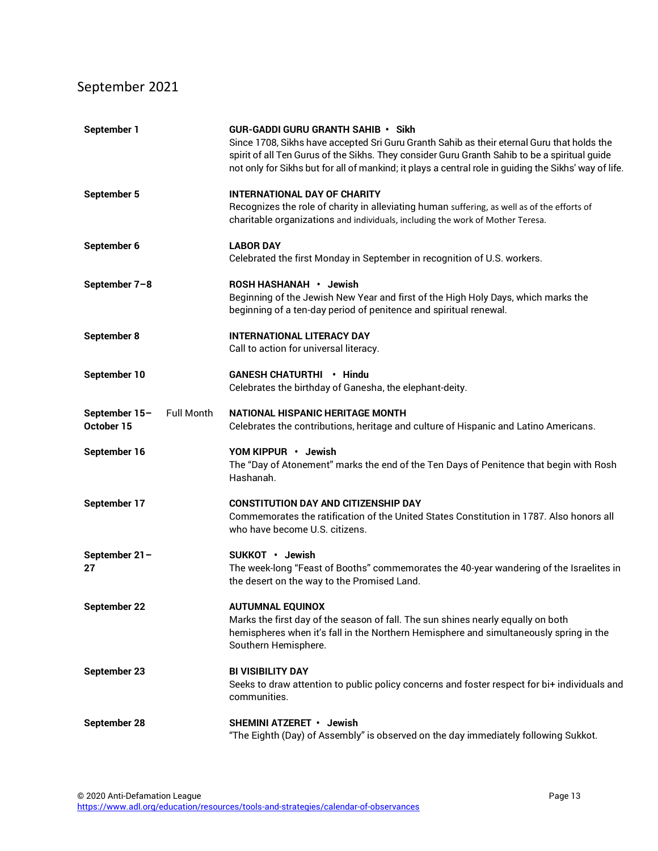## September 2021

| September 1                                      | <b>GUR-GADDI GURU GRANTH SAHIB • Sikh</b><br>Since 1708, Sikhs have accepted Sri Guru Granth Sahib as their eternal Guru that holds the<br>spirit of all Ten Gurus of the Sikhs. They consider Guru Granth Sahib to be a spiritual quide<br>not only for Sikhs but for all of mankind; it plays a central role in guiding the Sikhs' way of life. |
|--------------------------------------------------|---------------------------------------------------------------------------------------------------------------------------------------------------------------------------------------------------------------------------------------------------------------------------------------------------------------------------------------------------|
| September 5                                      | <b>INTERNATIONAL DAY OF CHARITY</b><br>Recognizes the role of charity in alleviating human suffering, as well as of the efforts of<br>charitable organizations and individuals, including the work of Mother Teresa.                                                                                                                              |
| September 6                                      | <b>LABOR DAY</b><br>Celebrated the first Monday in September in recognition of U.S. workers.                                                                                                                                                                                                                                                      |
| September 7-8                                    | ROSH HASHANAH · Jewish<br>Beginning of the Jewish New Year and first of the High Holy Days, which marks the<br>beginning of a ten-day period of penitence and spiritual renewal.                                                                                                                                                                  |
| September 8                                      | <b>INTERNATIONAL LITERACY DAY</b><br>Call to action for universal literacy.                                                                                                                                                                                                                                                                       |
| September 10                                     | <b>GANESH CHATURTHI • Hindu</b><br>Celebrates the birthday of Ganesha, the elephant-deity.                                                                                                                                                                                                                                                        |
| September 15-<br><b>Full Month</b><br>October 15 | <b>NATIONAL HISPANIC HERITAGE MONTH</b><br>Celebrates the contributions, heritage and culture of Hispanic and Latino Americans.                                                                                                                                                                                                                   |
| September 16                                     | YOM KIPPUR · Jewish<br>The "Day of Atonement" marks the end of the Ten Days of Penitence that begin with Rosh<br>Hashanah.                                                                                                                                                                                                                        |
| September 17                                     | <b>CONSTITUTION DAY AND CITIZENSHIP DAY</b><br>Commemorates the ratification of the United States Constitution in 1787. Also honors all<br>who have become U.S. citizens.                                                                                                                                                                         |
| September 21-<br>27                              | SUKKOT • Jewish<br>The week-long "Feast of Booths" commemorates the 40-year wandering of the Israelites in<br>the desert on the way to the Promised Land.                                                                                                                                                                                         |
| September 22                                     | <b>AUTUMNAL EQUINOX</b><br>Marks the first day of the season of fall. The sun shines nearly equally on both<br>hemispheres when it's fall in the Northern Hemisphere and simultaneously spring in the<br>Southern Hemisphere.                                                                                                                     |
| September 23                                     | <b>BI VISIBILITY DAY</b><br>Seeks to draw attention to public policy concerns and foster respect for bi+ individuals and<br>communities.                                                                                                                                                                                                          |
| September 28                                     | SHEMINI ATZERET · Jewish<br>"The Eighth (Day) of Assembly" is observed on the day immediately following Sukkot.                                                                                                                                                                                                                                   |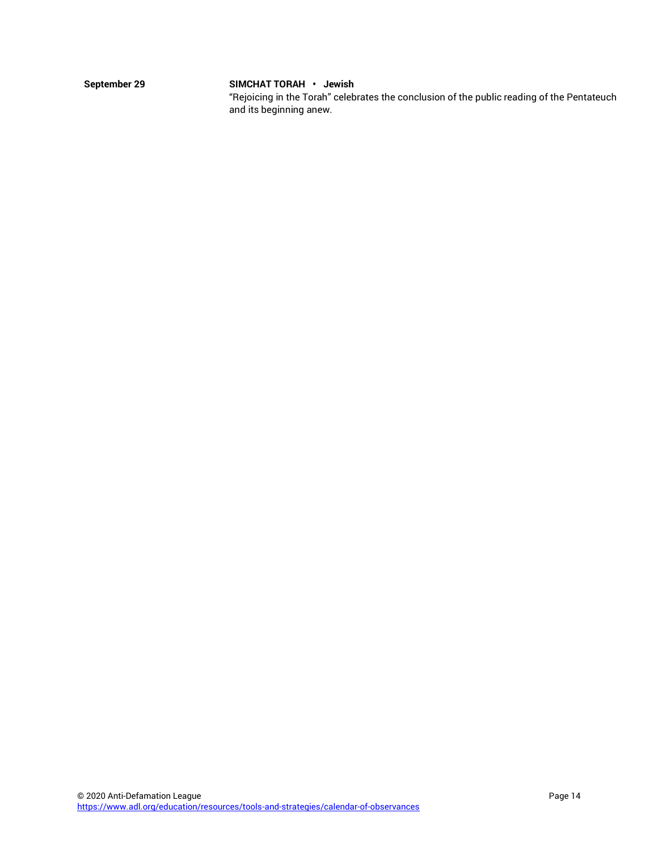#### **September 29 SIMCHAT TORAH • Jewish**

"Rejoicing in the Torah" celebrates the conclusion of the public reading of the Pentateuch and its beginning anew.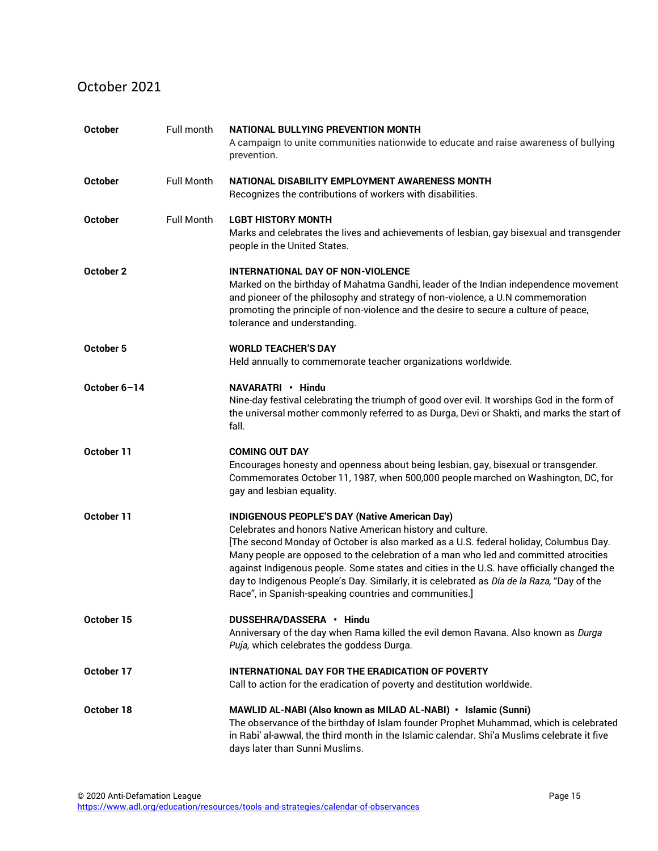#### October 2021

| <b>October</b> | Full month        | NATIONAL BULLYING PREVENTION MONTH<br>A campaign to unite communities nationwide to educate and raise awareness of bullying<br>prevention.                                                                                                                                                                                                                                                                                                                                                                                                               |
|----------------|-------------------|----------------------------------------------------------------------------------------------------------------------------------------------------------------------------------------------------------------------------------------------------------------------------------------------------------------------------------------------------------------------------------------------------------------------------------------------------------------------------------------------------------------------------------------------------------|
| <b>October</b> | <b>Full Month</b> | NATIONAL DISABILITY EMPLOYMENT AWARENESS MONTH<br>Recognizes the contributions of workers with disabilities.                                                                                                                                                                                                                                                                                                                                                                                                                                             |
| <b>October</b> | <b>Full Month</b> | <b>LGBT HISTORY MONTH</b><br>Marks and celebrates the lives and achievements of lesbian, gay bisexual and transgender<br>people in the United States.                                                                                                                                                                                                                                                                                                                                                                                                    |
| October 2      |                   | <b>INTERNATIONAL DAY OF NON-VIOLENCE</b><br>Marked on the birthday of Mahatma Gandhi, leader of the Indian independence movement<br>and pioneer of the philosophy and strategy of non-violence, a U.N commemoration<br>promoting the principle of non-violence and the desire to secure a culture of peace,<br>tolerance and understanding.                                                                                                                                                                                                              |
| October 5      |                   | <b>WORLD TEACHER'S DAY</b><br>Held annually to commemorate teacher organizations worldwide.                                                                                                                                                                                                                                                                                                                                                                                                                                                              |
| October 6-14   |                   | NAVARATRI · Hindu<br>Nine-day festival celebrating the triumph of good over evil. It worships God in the form of<br>the universal mother commonly referred to as Durga, Devi or Shakti, and marks the start of<br>fall.                                                                                                                                                                                                                                                                                                                                  |
| October 11     |                   | <b>COMING OUT DAY</b><br>Encourages honesty and openness about being lesbian, gay, bisexual or transgender.<br>Commemorates October 11, 1987, when 500,000 people marched on Washington, DC, for<br>gay and lesbian equality.                                                                                                                                                                                                                                                                                                                            |
| October 11     |                   | <b>INDIGENOUS PEOPLE'S DAY (Native American Day)</b><br>Celebrates and honors Native American history and culture.<br>[The second Monday of October is also marked as a U.S. federal holiday, Columbus Day.<br>Many people are opposed to the celebration of a man who led and committed atrocities<br>against Indigenous people. Some states and cities in the U.S. have officially changed the<br>day to Indigenous People's Day. Similarly, it is celebrated as Día de la Raza, "Day of the<br>Race", in Spanish-speaking countries and communities.] |
| October 15     |                   | DUSSEHRA/DASSERA • Hindu<br>Anniversary of the day when Rama killed the evil demon Ravana. Also known as Durga<br>Puja, which celebrates the goddess Durga.                                                                                                                                                                                                                                                                                                                                                                                              |
| October 17     |                   | INTERNATIONAL DAY FOR THE ERADICATION OF POVERTY<br>Call to action for the eradication of poverty and destitution worldwide.                                                                                                                                                                                                                                                                                                                                                                                                                             |
| October 18     |                   | MAWLID AL-NABI (Also known as MILAD AL-NABI) · Islamic (Sunni)<br>The observance of the birthday of Islam founder Prophet Muhammad, which is celebrated<br>in Rabi' al-awwal, the third month in the Islamic calendar. Shi'a Muslims celebrate it five<br>days later than Sunni Muslims.                                                                                                                                                                                                                                                                 |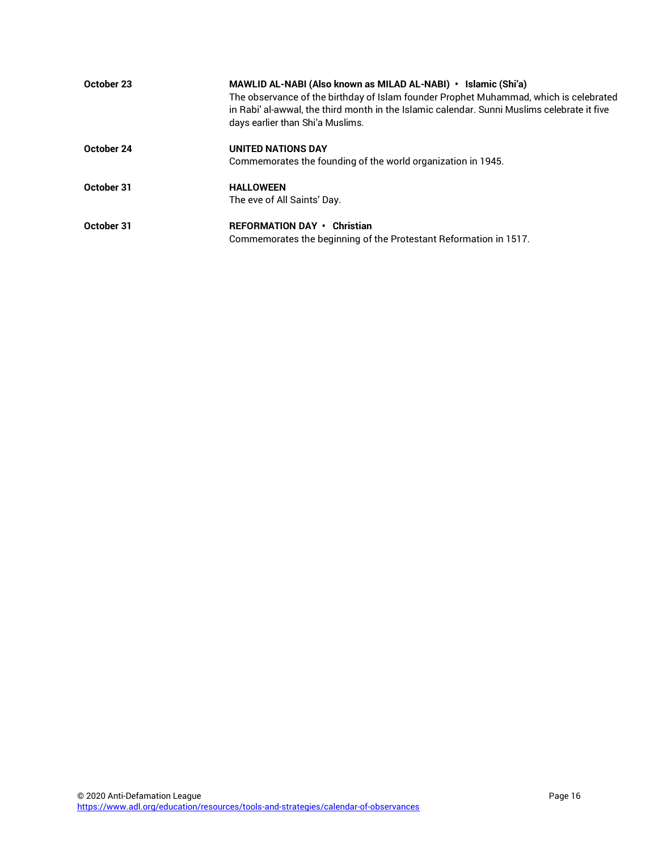| October 23 | MAWLID AL-NABI (Also known as MILAD AL-NABI) • Islamic (Shi'a)<br>The observance of the birthday of Islam founder Prophet Muhammad, which is celebrated<br>in Rabi' al-awwal, the third month in the Islamic calendar. Sunni Muslims celebrate it five<br>days earlier than Shi'a Muslims. |
|------------|--------------------------------------------------------------------------------------------------------------------------------------------------------------------------------------------------------------------------------------------------------------------------------------------|
| October 24 | <b>UNITED NATIONS DAY</b>                                                                                                                                                                                                                                                                  |
|            | Commemorates the founding of the world organization in 1945.                                                                                                                                                                                                                               |
| October 31 | <b>HALLOWEEN</b>                                                                                                                                                                                                                                                                           |
|            | The eve of All Saints' Day.                                                                                                                                                                                                                                                                |
| October 31 | REFORMATION DAY • Christian                                                                                                                                                                                                                                                                |
|            | Commemorates the beginning of the Protestant Reformation in 1517.                                                                                                                                                                                                                          |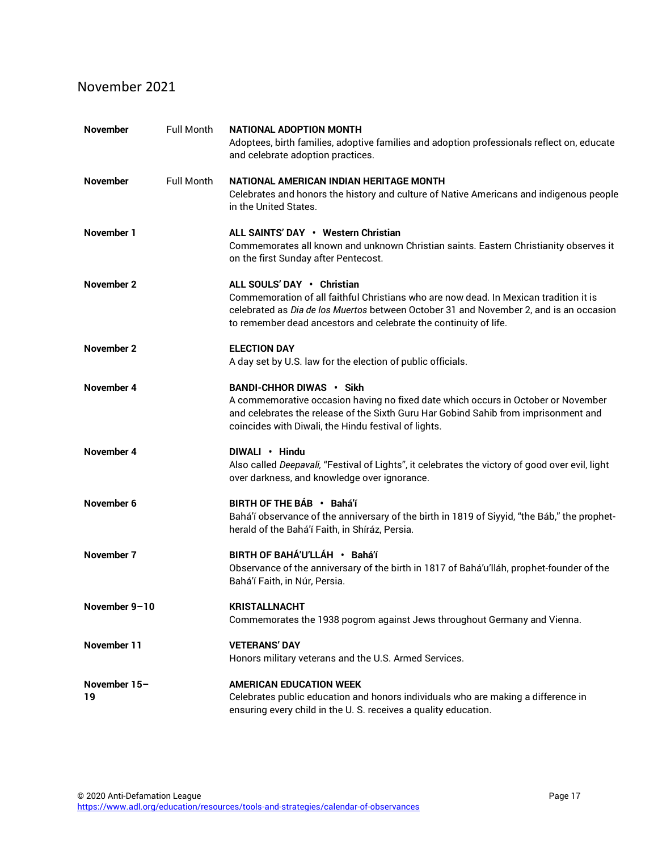#### November 2021

| <b>November</b>    | <b>Full Month</b> | NATIONAL ADOPTION MONTH<br>Adoptees, birth families, adoptive families and adoption professionals reflect on, educate<br>and celebrate adoption practices.                                                                                                                        |
|--------------------|-------------------|-----------------------------------------------------------------------------------------------------------------------------------------------------------------------------------------------------------------------------------------------------------------------------------|
| November           | <b>Full Month</b> | NATIONAL AMERICAN INDIAN HERITAGE MONTH<br>Celebrates and honors the history and culture of Native Americans and indigenous people<br>in the United States.                                                                                                                       |
| November 1         |                   | ALL SAINTS' DAY • Western Christian<br>Commemorates all known and unknown Christian saints. Eastern Christianity observes it<br>on the first Sunday after Pentecost.                                                                                                              |
| November 2         |                   | ALL SOULS' DAY • Christian<br>Commemoration of all faithful Christians who are now dead. In Mexican tradition it is<br>celebrated as Dia de los Muertos between October 31 and November 2, and is an occasion<br>to remember dead ancestors and celebrate the continuity of life. |
| November 2         |                   | <b>ELECTION DAY</b><br>A day set by U.S. law for the election of public officials.                                                                                                                                                                                                |
| November 4         |                   | BANDI-CHHOR DIWAS . Sikh<br>A commemorative occasion having no fixed date which occurs in October or November<br>and celebrates the release of the Sixth Guru Har Gobind Sahib from imprisonment and<br>coincides with Diwali, the Hindu festival of lights.                      |
| November 4         |                   | DIWALI • Hindu<br>Also called Deepavali, "Festival of Lights", it celebrates the victory of good over evil, light<br>over darkness, and knowledge over ignorance.                                                                                                                 |
| November 6         |                   | BIRTH OF THE BÁB · Bahá'í<br>Bahá'í observance of the anniversary of the birth in 1819 of Siyyid, "the Báb," the prophet-<br>herald of the Bahá'í Faith, in Shíráz, Persia.                                                                                                       |
| November 7         |                   | BIRTH OF BAHÁ'U'LLÁH · Bahá'í<br>Observance of the anniversary of the birth in 1817 of Bahá'u'lláh, prophet-founder of the<br>Bahá'í Faith, in Núr, Persia.                                                                                                                       |
| November 9-10      |                   | <b>KRISTALLNACHT</b><br>Commemorates the 1938 pogrom against Jews throughout Germany and Vienna.                                                                                                                                                                                  |
| <b>November 11</b> |                   | <b>VETERANS' DAY</b><br>Honors military veterans and the U.S. Armed Services.                                                                                                                                                                                                     |
| November 15-<br>19 |                   | <b>AMERICAN EDUCATION WEEK</b><br>Celebrates public education and honors individuals who are making a difference in<br>ensuring every child in the U.S. receives a quality education.                                                                                             |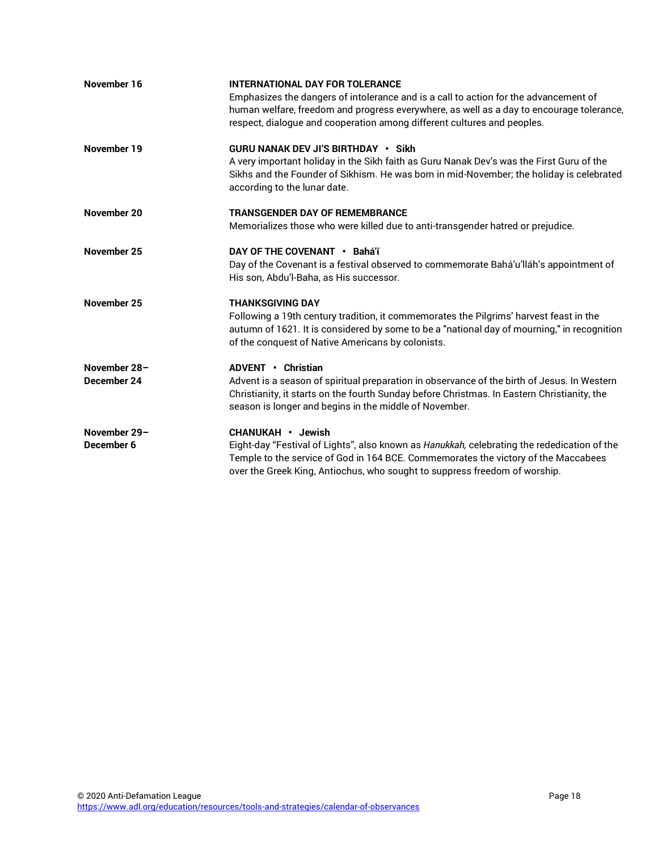| November 16  | <b>INTERNATIONAL DAY FOR TOLERANCE</b><br>Emphasizes the dangers of intolerance and is a call to action for the advancement of<br>human welfare, freedom and progress everywhere, as well as a day to encourage tolerance,<br>respect, dialogue and cooperation among different cultures and peoples. |
|--------------|-------------------------------------------------------------------------------------------------------------------------------------------------------------------------------------------------------------------------------------------------------------------------------------------------------|
| November 19  | <b>GURU NANAK DEV JI'S BIRTHDAY · Sikh</b><br>A very important holiday in the Sikh faith as Guru Nanak Dev's was the First Guru of the<br>Sikhs and the Founder of Sikhism. He was born in mid-November; the holiday is celebrated<br>according to the lunar date.                                    |
| November 20  | <b>TRANSGENDER DAY OF REMEMBRANCE</b>                                                                                                                                                                                                                                                                 |
|              | Memorializes those who were killed due to anti-transgender hatred or prejudice.                                                                                                                                                                                                                       |
| November 25  | DAY OF THE COVENANT • Bahá'í                                                                                                                                                                                                                                                                          |
|              | Day of the Covenant is a festival observed to commemorate Bahá'u'lláh's appointment of                                                                                                                                                                                                                |
|              | His son, Abdu'l-Baha, as His successor.                                                                                                                                                                                                                                                               |
| November 25  | <b>THANKSGIVING DAY</b>                                                                                                                                                                                                                                                                               |
|              | Following a 19th century tradition, it commemorates the Pilgrims' harvest feast in the                                                                                                                                                                                                                |
|              | autumn of 1621. It is considered by some to be a "national day of mourning," in recognition                                                                                                                                                                                                           |
|              | of the conquest of Native Americans by colonists.                                                                                                                                                                                                                                                     |
| November 28- | ADVENT . Christian                                                                                                                                                                                                                                                                                    |
| December 24  | Advent is a season of spiritual preparation in observance of the birth of Jesus. In Western                                                                                                                                                                                                           |
|              | Christianity, it starts on the fourth Sunday before Christmas. In Eastern Christianity, the                                                                                                                                                                                                           |
|              | season is longer and begins in the middle of November.                                                                                                                                                                                                                                                |
| November 29- | CHANUKAH · Jewish                                                                                                                                                                                                                                                                                     |
| December 6   | Eight-day "Festival of Lights", also known as Hanukkah, celebrating the rededication of the                                                                                                                                                                                                           |
|              | Temple to the service of God in 164 BCE. Commemorates the victory of the Maccabees                                                                                                                                                                                                                    |
|              | over the Greek King, Antiochus, who sought to suppress freedom of worship.                                                                                                                                                                                                                            |